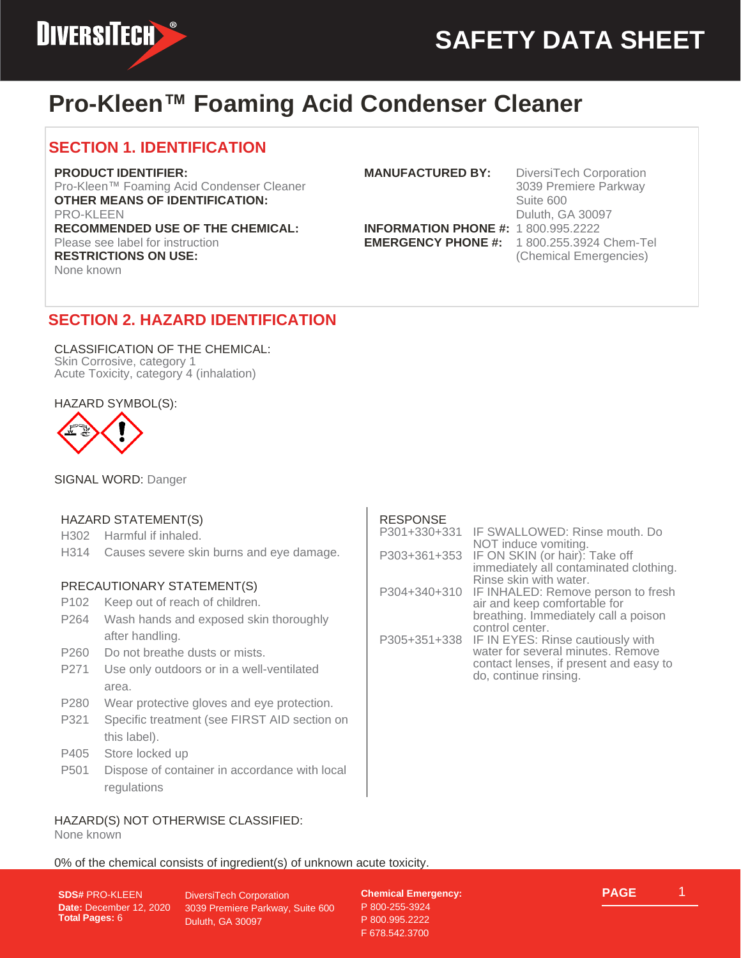

## **Pro-Kleen™ Foaming Acid Condenser Cleaner**

## **SECTION 1. IDENTIFICATION**

#### **PRODUCT IDENTIFIER:**

Pro-Kleen™ Foaming Acid Condenser Cleaner **OTHER MEANS OF IDENTIFICATION:** PRO-KLEEN **RECOMMENDED USE OF THE CHEMICAL:** Please see label for instruction **RESTRICTIONS ON USE:** None known

**INFORMATION PHONE #:** 1 800.995.2222 **EMERGENCY PHONE #:** 1 800.255.3924 Chem-Tel

**MANUFACTURED BY:** DiversiTech Corporation 3039 Premiere Parkway Suite 600 Duluth, GA 30097 (Chemical Emergencies)

## **SECTION 2. HAZARD IDENTIFICATION**

CLASSIFICATION OF THE CHEMICAL: Skin Corrosive, category 1 Acute Toxicity, category 4 (inhalation)

HAZARD SYMBOL(S):



SIGNAL WORD: Danger

### HAZARD STATEMENT(S)

H302 Harmful if inhaled.

H314 Causes severe skin burns and eye damage.

#### PRECAUTIONARY STATEMENT(S)

- P102 Keep out of reach of children.
- P264 Wash hands and exposed skin thoroughly after handling.
- P260 Do not breathe dusts or mists.
- P271 Use only outdoors or in a well-ventilated area.
- P280 Wear protective gloves and eye protection.
- P321 Specific treatment (see FIRST AID section on this label).
- P405 Store locked up
- P501 Dispose of container in accordance with local regulations

### HAZARD(S) NOT OTHERWISE CLASSIFIED:

None known

0% of the chemical consists of ingredient(s) of unknown acute toxicity.

**SDS#** PRO-KLEEN **Date:** December 12, 2020 **Total Pages:** 6

DiversiTech Corporation 3039 Premiere Parkway, Suite 600 Duluth, GA 30097

**Chemical Emergency:** P 800-255-3924 P 800.995.2222 F 678.542.3700



### RESPONSE

| P301+330+331 | IF SWALLOWED: Rinse mouth. Do          |
|--------------|----------------------------------------|
|              | NOT induce vomiting.                   |
| P303+361+353 | IF ON SKIN (or hair): Take off         |
|              | immediately all contaminated clothing. |
|              | Rinse skin with water.                 |
| P304+340+310 | IF INHALED: Remove person to fresh     |
|              | air and keep comfortable for           |
|              | breathing. Immediately call a poison   |
|              | control center.                        |
| P305+351+338 | IF IN EYES: Rinse cautiously with      |
|              | water for several minutes. Remove      |
|              | contact lenses, if present and easy to |
|              | do, continue rinsing.                  |
|              |                                        |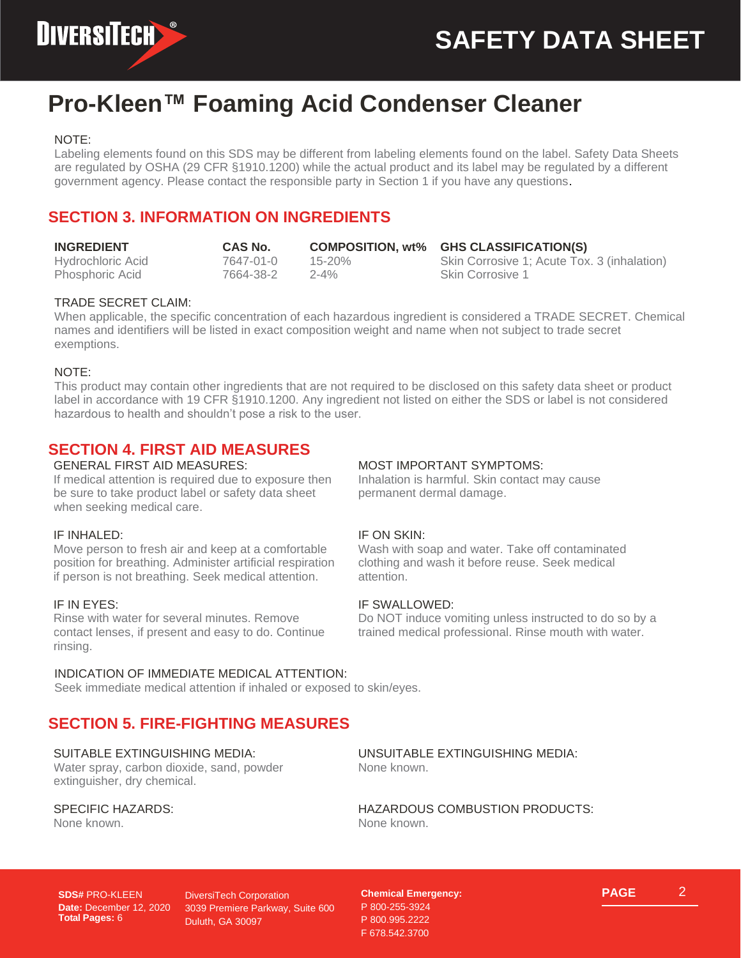

## **Pro-Kleen™ Foaming Acid Condenser Cleaner**

#### NOTE:

Labeling elements found on this SDS may be different from labeling elements found on the label. Safety Data Sheets are regulated by OSHA (29 CFR §1910.1200) while the actual product and its label may be regulated by a different government agency. Please contact the responsible party in Section 1 if you have any questions.

## **SECTION 3. INFORMATION ON INGREDIENTS**

| <b>INGREDIENT</b> | CAS No.   |          | COMPOSITION, wt% GHS CLASSIFICATION(S)      |
|-------------------|-----------|----------|---------------------------------------------|
| Hydrochloric Acid | 7647-01-0 | 15-20%   | Skin Corrosive 1; Acute Tox. 3 (inhalation) |
| Phosphoric Acid   | 7664-38-2 | $2 - 4%$ | <b>Skin Corrosive 1</b>                     |

#### TRADE SECRET CLAIM:

When applicable, the specific concentration of each hazardous ingredient is considered a TRADE SECRET. Chemical names and identifiers will be listed in exact composition weight and name when not subject to trade secret exemptions.

#### NOTE:

This product may contain other ingredients that are not required to be disclosed on this safety data sheet or product label in accordance with 19 CFR §1910.1200. Any ingredient not listed on either the SDS or label is not considered hazardous to health and shouldn't pose a risk to the user.

## **SECTION 4. FIRST AID MEASURES**

#### GENERAL FIRST AID MEASURES:

If medical attention is required due to exposure then be sure to take product label or safety data sheet when seeking medical care.

#### IF INHALED:

Move person to fresh air and keep at a comfortable position for breathing. Administer artificial respiration if person is not breathing. Seek medical attention.

#### IF IN EYES:

Rinse with water for several minutes. Remove contact lenses, if present and easy to do. Continue rinsing.

#### INDICATION OF IMMEDIATE MEDICAL ATTENTION:

#### Seek immediate medical attention if inhaled or exposed to skin/eyes.

## **SECTION 5. FIRE-FIGHTING MEASURES**

#### SUITABLE EXTINGUISHING MEDIA:

Water spray, carbon dioxide, sand, powder extinguisher, dry chemical.

#### SPECIFIC HAZARDS:

None known.

#### MOST IMPORTANT SYMPTOMS:

Inhalation is harmful. Skin contact may cause permanent dermal damage.

#### IF ON SKIN:

Wash with soap and water. Take off contaminated clothing and wash it before reuse. Seek medical attention.

#### IF SWALLOWED:

Do NOT induce vomiting unless instructed to do so by a trained medical professional. Rinse mouth with water.

UNSUITABLE EXTINGUISHING MEDIA: None known.

HAZARDOUS COMBUSTION PRODUCTS: None known.

**SDS#** PRO-KLEEN **Date:** December 12, 2020 **Total Pages:** 6

DiversiTech Corporation 3039 Premiere Parkway, Suite 600 Duluth, GA 30097

**Chemical Emergency:** P 800-255-3924 P 800.995.2222 F 678.542.3700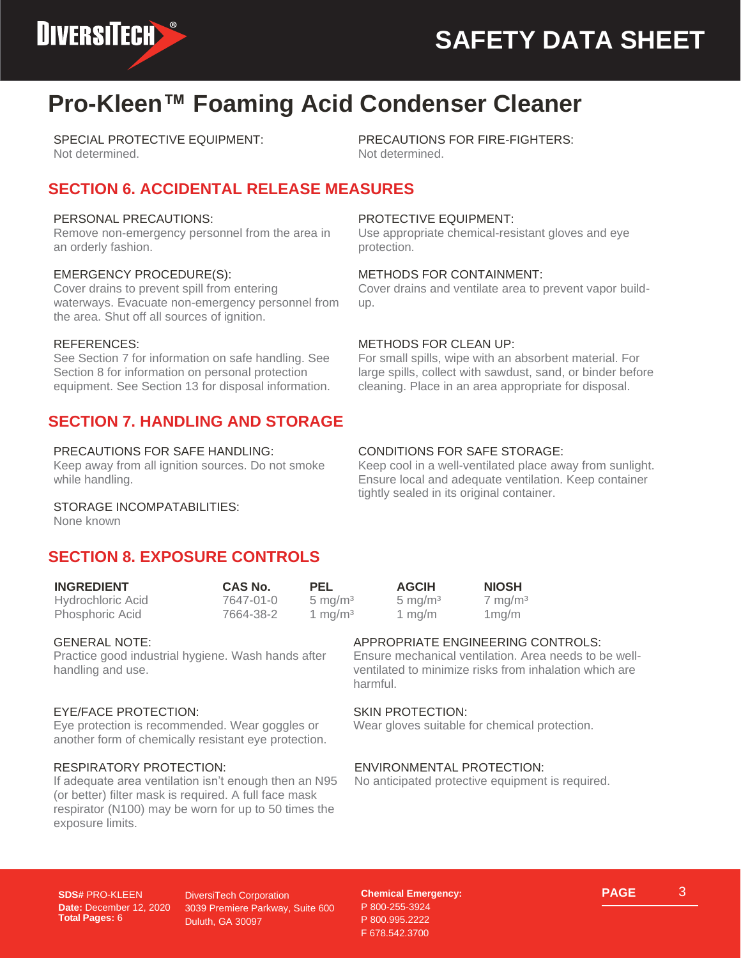

## **Pro-Kleen™ Foaming Acid Condenser Cleaner**

SPECIAL PROTECTIVE EQUIPMENT: Not determined.

PRECAUTIONS FOR FIRE-FIGHTERS: Not determined.

## **SECTION 6. ACCIDENTAL RELEASE MEASURES**

#### PERSONAL PRECAUTIONS:

Remove non-emergency personnel from the area in an orderly fashion.

#### EMERGENCY PROCEDURE(S):

Cover drains to prevent spill from entering waterways. Evacuate non-emergency personnel from the area. Shut off all sources of ignition.

#### REFERENCES:

See Section 7 for information on safe handling. See Section 8 for information on personal protection equipment. See Section 13 for disposal information.

## **SECTION 7. HANDLING AND STORAGE**

#### PRECAUTIONS FOR SAFE HANDLING:

Keep away from all ignition sources. Do not smoke while handling.

#### PROTECTIVE EQUIPMENT:

Use appropriate chemical-resistant gloves and eye protection.

#### METHODS FOR CONTAINMENT:

Cover drains and ventilate area to prevent vapor buildup.

#### METHODS FOR CLEAN UP:

For small spills, wipe with an absorbent material. For large spills, collect with sawdust, sand, or binder before cleaning. Place in an area appropriate for disposal.

#### CONDITIONS FOR SAFE STORAGE:

Keep cool in a well-ventilated place away from sunlight. Ensure local and adequate ventilation. Keep container tightly sealed in its original container.

#### STORAGE INCOMPATABILITIES:

None known

## **SECTION 8. EXPOSURE CONTROLS**

| <b>INGREDIENT</b> | CAS No.   | PEL                | <b>AGCIH</b>       | <b>NIOSH</b>       |  |
|-------------------|-----------|--------------------|--------------------|--------------------|--|
| Hydrochloric Acid | 7647-01-0 | $5 \text{ mg/m}^3$ | $5 \text{ mg/m}^3$ | $7 \text{ mg/m}^3$ |  |
| Phosphoric Acid   | 7664-38-2 | 1 mg/m $3$         | 1 mg/m             | 1 mg/m             |  |

#### GENERAL NOTE:

Practice good industrial hygiene. Wash hands after handling and use.

#### EYE/FACE PROTECTION:

Eye protection is recommended. Wear goggles or another form of chemically resistant eye protection.

#### RESPIRATORY PROTECTION:

If adequate area ventilation isn't enough then an N95 (or better) filter mask is required. A full face mask respirator (N100) may be worn for up to 50 times the exposure limits.

#### APPROPRIATE ENGINEERING CONTROLS:

Ensure mechanical ventilation. Area needs to be wellventilated to minimize risks from inhalation which are harmful.

#### SKIN PROTECTION:

Wear gloves suitable for chemical protection.

#### ENVIRONMENTAL PROTECTION:

No anticipated protective equipment is required.

**SDS#** PRO-KLEEN **Date:** December 12, 2020 **Total Pages:** 6

DiversiTech Corporation 3039 Premiere Parkway, Suite 600 Duluth, GA 30097

**Chemical Emergency:** P 800-255-3924 P 800.995.2222 F 678.542.3700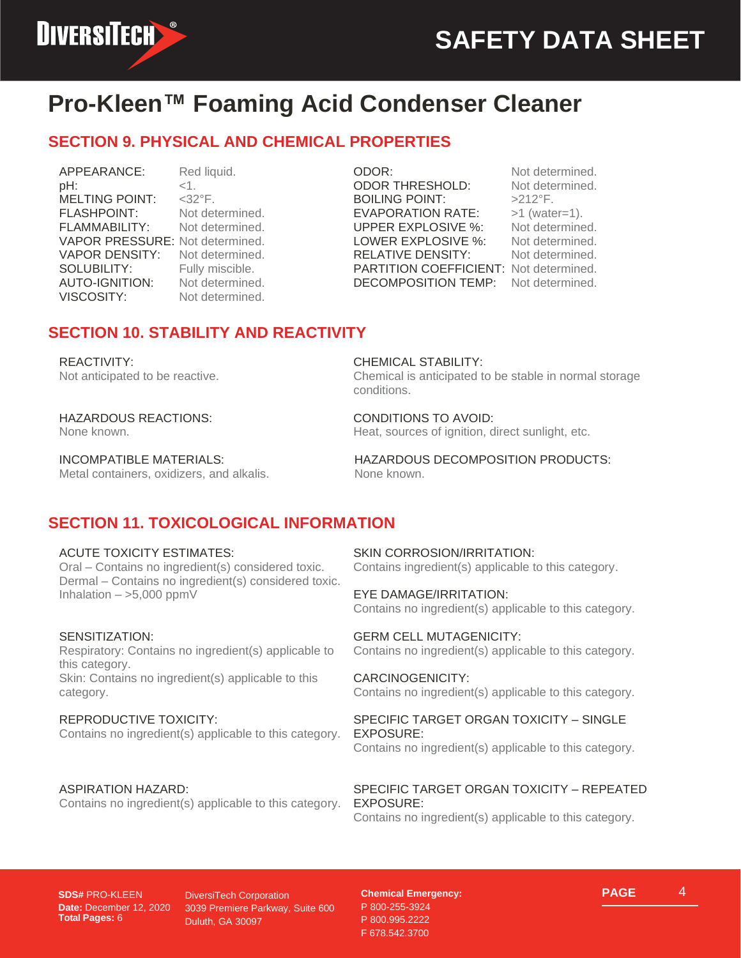

## **Pro-Kleen™ Foaming Acid Condenser Cleaner**

## **SECTION 9. PHYSICAL AND CHEMICAL PROPERTIES**

APPEARANCE: Red liquid. pH: <1. MELTING POINT: <32°F. FLASHPOINT: Not determined. FLAMMABILITY: Not determined. VAPOR PRESSURE: Not determined. VAPOR DENSITY: Not determined. SOLUBILITY: Fully miscible. AUTO-IGNITION: Not determined. VISCOSITY: Not determined.

ODOR: Not determined. ODOR THRESHOLD: Not determined. BOILING POINT: >212°F. EVAPORATION RATE: >1 (water=1). UPPER EXPLOSIVE %: Not determined. LOWER EXPLOSIVE %: Not determined. RELATIVE DENSITY: Not determined. PARTITION COEFFICIENT: Not determined. DECOMPOSITION TEMP: Not determined.

## **SECTION 10. STABILITY AND REACTIVITY**

#### REACTIVITY:

Not anticipated to be reactive.

#### HAZARDOUS REACTIONS:

None known.

INCOMPATIBLE MATERIALS: Metal containers, oxidizers, and alkalis. CHEMICAL STABILITY:

Chemical is anticipated to be stable in normal storage conditions.

CONDITIONS TO AVOID: Heat, sources of ignition, direct sunlight, etc.

HAZARDOUS DECOMPOSITION PRODUCTS: None known.

## **SECTION 11. TOXICOLOGICAL INFORMATION**

#### ACUTE TOXICITY ESTIMATES:

Oral – Contains no ingredient(s) considered toxic. Dermal – Contains no ingredient(s) considered toxic. Inhalation  $-$  >5,000 ppmV

#### SENSITIZATION:

Respiratory: Contains no ingredient(s) applicable to this category. Skin: Contains no ingredient(s) applicable to this category.

#### REPRODUCTIVE TOXICITY:

Contains no ingredient(s) applicable to this category.

#### ASPIRATION HAZARD:

Contains no ingredient(s) applicable to this category.

SKIN CORROSION/IRRITATION: Contains ingredient(s) applicable to this category.

EYE DAMAGE/IRRITATION: Contains no ingredient(s) applicable to this category.

GERM CELL MUTAGENICITY: Contains no ingredient(s) applicable to this category.

CARCINOGENICITY: Contains no ingredient(s) applicable to this category.

#### SPECIFIC TARGET ORGAN TOXICITY – SINGLE EXPOSURE:

Contains no ingredient(s) applicable to this category.

SPECIFIC TARGET ORGAN TOXICITY – REPEATED EXPOSURE:

Contains no ingredient(s) applicable to this category.

**SDS#** PRO-KLEEN **Date:** December 12, 2020 **Total Pages:** 6

DiversiTech Corporation 3039 Premiere Parkway, Suite 600 Duluth, GA 30097

**Chemical Emergency:** P 800-255-3924 P 800.995.2222 F 678.542.3700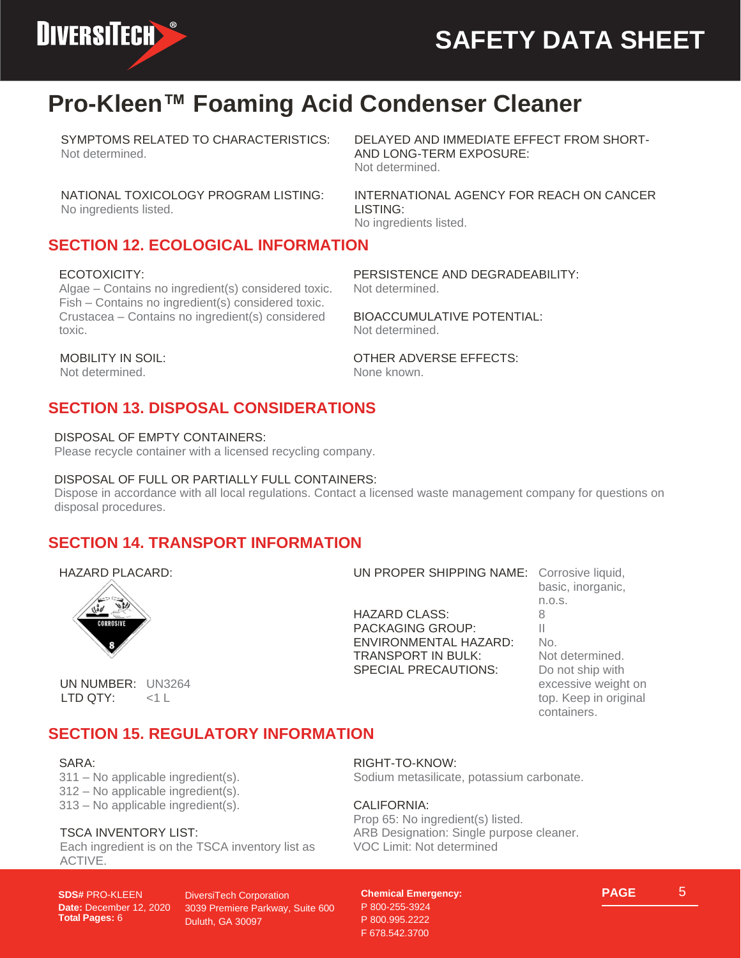

## **Pro-Kleen™ Foaming Acid Condenser Cleaner**

SYMPTOMS RELATED TO CHARACTERISTICS: Not determined.

DELAYED AND IMMEDIATE EFFECT FROM SHORT-AND LONG-TERM EXPOSURE: Not determined.

NATIONAL TOXICOLOGY PROGRAM LISTING: No ingredients listed.

INTERNATIONAL AGENCY FOR REACH ON CANCER LISTING: No ingredients listed.

## **SECTION 12. ECOLOGICAL INFORMATION**

#### ECOTOXICITY:

Algae – Contains no ingredient(s) considered toxic. Fish – Contains no ingredient(s) considered toxic. Crustacea – Contains no ingredient(s) considered toxic.

PERSISTENCE AND DEGRADEABILITY: Not determined.

BIOACCUMULATIVE POTENTIAL: Not determined.

OTHER ADVERSE EFFECTS: None known.

#### MOBILITY IN SOIL:

Not determined.

## **SECTION 13. DISPOSAL CONSIDERATIONS**

#### DISPOSAL OF EMPTY CONTAINERS:

Please recycle container with a licensed recycling company.

#### DISPOSAL OF FULL OR PARTIALLY FULL CONTAINERS:

Dispose in accordance with all local regulations. Contact a licensed waste management company for questions on disposal procedures.

### **SECTION 14. TRANSPORT INFORMATION**

#### HAZARD PLACARD:



HAZARD CLASS: 8 PACKAGING GROUP: ENVIRONMENTAL HAZARD: No. TRANSPORT IN BULK: Not determined. SPECIAL PRECAUTIONS: Do not ship with

basic, inorganic, n.o.s. excessive weight on top. Keep in original containers.

#### UN NUMBER: UN3264 LTD QTY: <1 L

## **SECTION 15. REGULATORY INFORMATION**

#### SARA:

311 – No applicable ingredient(s). 312 – No applicable ingredient(s). 313 – No applicable ingredient(s).

#### TSCA INVENTORY LIST:

Each ingredient is on the TSCA inventory list as ACTIVE.

**SDS#** PRO-KLEEN **Date:** December 12, 2020 **Total Pages:** 6

DiversiTech Corporation 3039 Premiere Parkway, Suite 600 Duluth, GA 30097

RIGHT-TO-KNOW:

Sodium metasilicate, potassium carbonate.

UN PROPER SHIPPING NAME: Corrosive liquid,

#### CALIFORNIA:

Prop 65: No ingredient(s) listed. ARB Designation: Single purpose cleaner. VOC Limit: Not determined

#### **Chemical Emergency:** P 800-255-3924 P 800.995.2222 F 678.542.3700